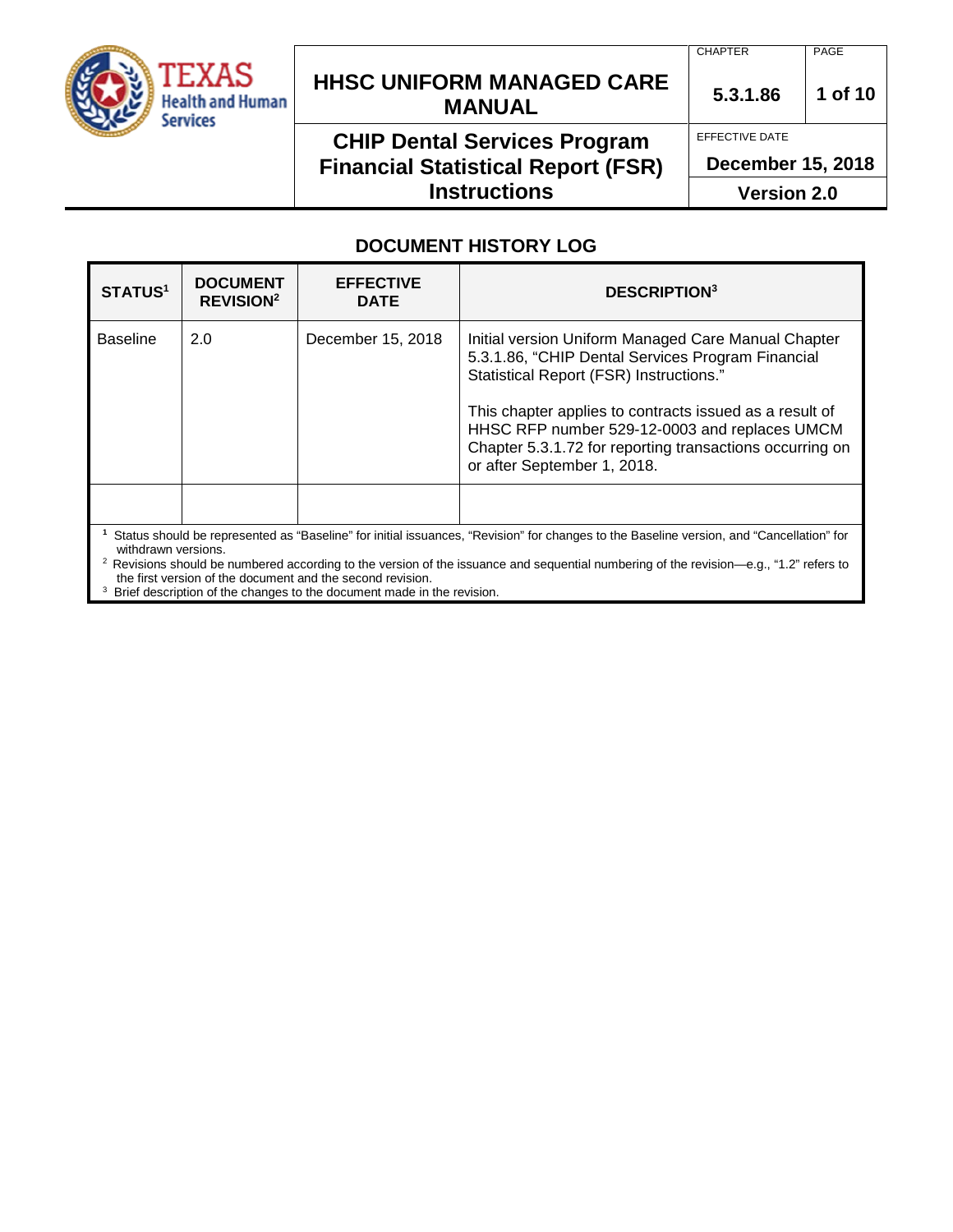

# **HHSC UNIFORM MANAGED CARE MANUAL 5.3.1.86 <sup>1</sup> of 10**

### **CHIP Dental Services Program Financial Statistical Report (FSR) Instructions**

CHAPTER PAGE

EFFECTIVE DATE

**December 15, 2018**

**Version 2.0**

### **DOCUMENT HISTORY LOG**

| <b>STATUS1</b>                                                                                                                                                                                                                                                                                                      | <b>DOCUMENT</b><br><b>REVISION<sup>2</sup></b> | <b>EFFECTIVE</b><br><b>DATE</b> | <b>DESCRIPTION3</b>                                                                                                                                                                                                                                                                                                                                        |
|---------------------------------------------------------------------------------------------------------------------------------------------------------------------------------------------------------------------------------------------------------------------------------------------------------------------|------------------------------------------------|---------------------------------|------------------------------------------------------------------------------------------------------------------------------------------------------------------------------------------------------------------------------------------------------------------------------------------------------------------------------------------------------------|
| <b>Baseline</b>                                                                                                                                                                                                                                                                                                     | 2.0                                            | December 15, 2018               | Initial version Uniform Managed Care Manual Chapter<br>5.3.1.86, "CHIP Dental Services Program Financial<br>Statistical Report (FSR) Instructions."<br>This chapter applies to contracts issued as a result of<br>HHSC RFP number 529-12-0003 and replaces UMCM<br>Chapter 5.3.1.72 for reporting transactions occurring on<br>or after September 1, 2018. |
| Status should be represented as "Baseline" for initial issuances, "Revision" for changes to the Baseline version, and "Cancellation" for<br>withdrawn versions.<br>Dovisions should be numbered according to the version of the issuance and sequential numbering of the revision $\alpha$ $\alpha$ "1.2" refers to |                                                |                                 |                                                                                                                                                                                                                                                                                                                                                            |

2 Revisions should be numbered according to the version of the issuance and sequential numbering of the revision—e.g., "1.2" refers to the first version of the document and the second revision.

<sup>3</sup> Brief description of the changes to the document made in the revision.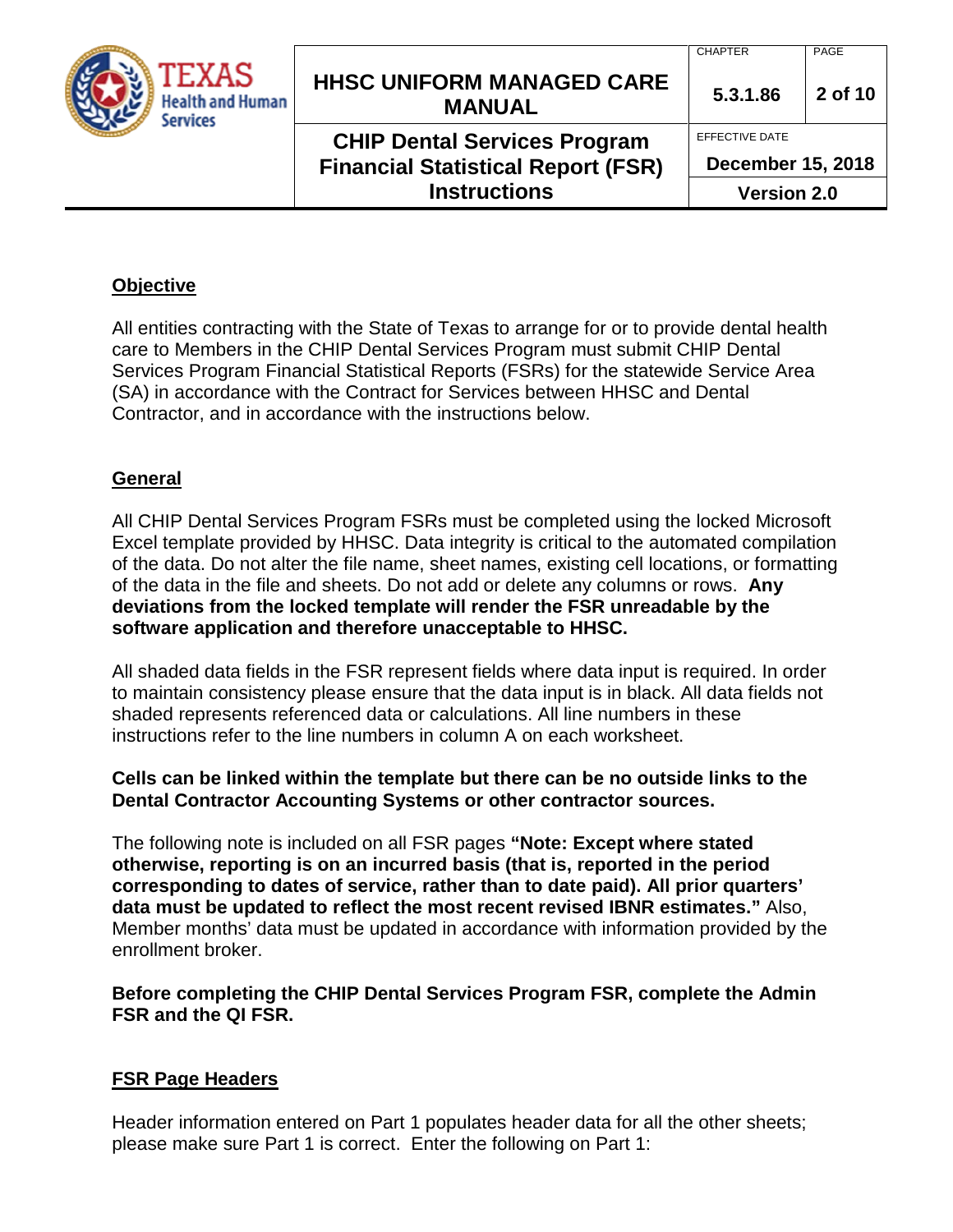| TEXAS<br><b>Health and Human</b><br>Services | <b>HHSC UNIFORM MANAGED CARE</b><br><b>MANUAL</b>                                | <b>CHAPTER</b><br>5.3.1.86                 | PAGE<br>2 of 10    |  |
|----------------------------------------------|----------------------------------------------------------------------------------|--------------------------------------------|--------------------|--|
|                                              | <b>CHIP Dental Services Program</b><br><b>Financial Statistical Report (FSR)</b> | EFFECTIVE DATE<br><b>December 15, 2018</b> |                    |  |
|                                              | <b>Instructions</b>                                                              |                                            | <b>Version 2.0</b> |  |

### **Objective**

All entities contracting with the State of Texas to arrange for or to provide dental health care to Members in the CHIP Dental Services Program must submit CHIP Dental Services Program Financial Statistical Reports (FSRs) for the statewide Service Area (SA) in accordance with the Contract for Services between HHSC and Dental Contractor, and in accordance with the instructions below.

### **General**

All CHIP Dental Services Program FSRs must be completed using the locked Microsoft Excel template provided by HHSC. Data integrity is critical to the automated compilation of the data. Do not alter the file name, sheet names, existing cell locations, or formatting of the data in the file and sheets. Do not add or delete any columns or rows. **Any deviations from the locked template will render the FSR unreadable by the software application and therefore unacceptable to HHSC.**

All shaded data fields in the FSR represent fields where data input is required. In order to maintain consistency please ensure that the data input is in black. All data fields not shaded represents referenced data or calculations. All line numbers in these instructions refer to the line numbers in column A on each worksheet.

### **Cells can be linked within the template but there can be no outside links to the Dental Contractor Accounting Systems or other contractor sources.**

The following note is included on all FSR pages **"Note: Except where stated otherwise, reporting is on an incurred basis (that is, reported in the period corresponding to dates of service, rather than to date paid). All prior quarters' data must be updated to reflect the most recent revised IBNR estimates."** Also, Member months' data must be updated in accordance with information provided by the enrollment broker.

### **Before completing the CHIP Dental Services Program FSR, complete the Admin FSR and the QI FSR.**

### **FSR Page Headers**

Header information entered on Part 1 populates header data for all the other sheets; please make sure Part 1 is correct. Enter the following on Part 1: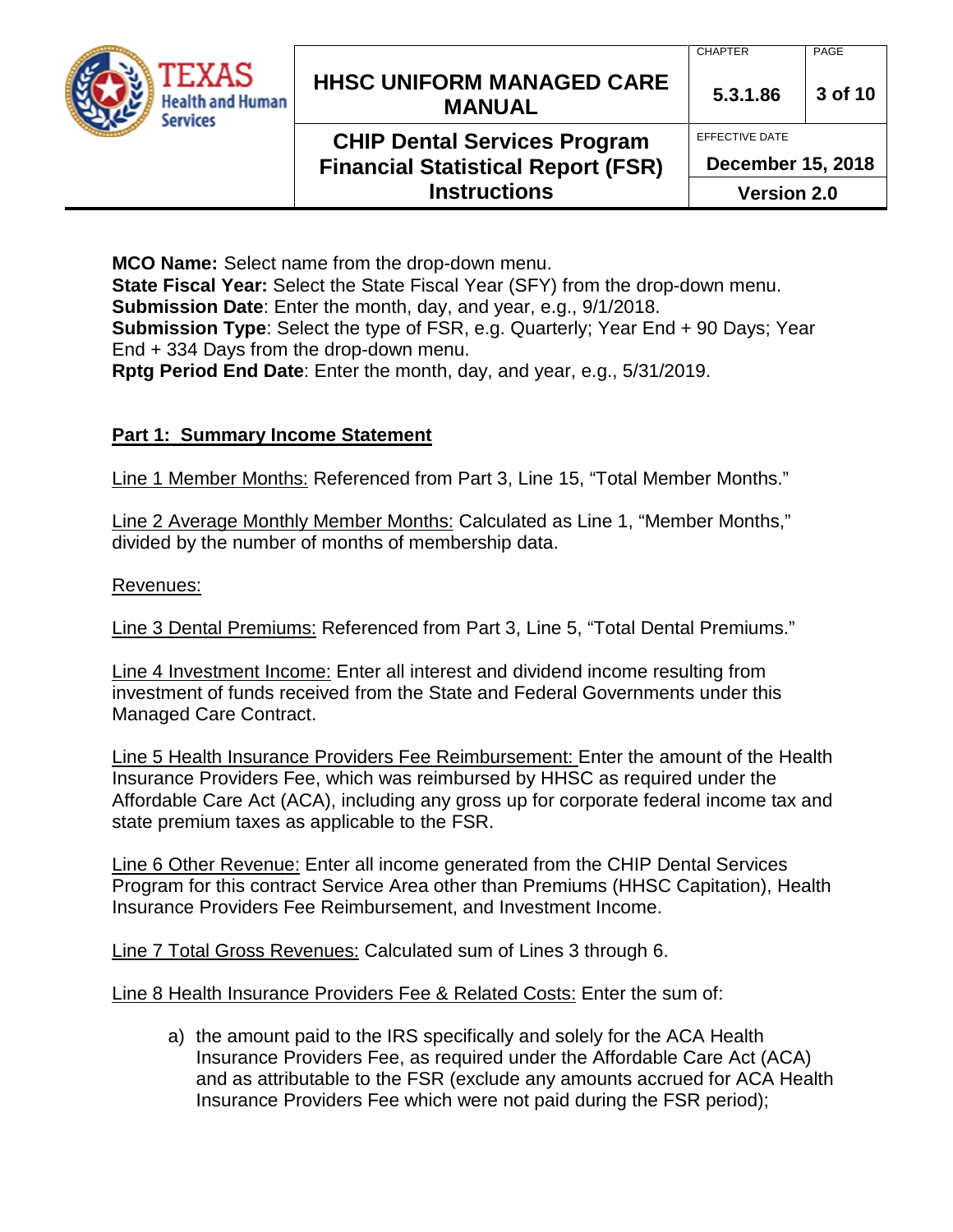| TEXAS<br><b>Health and Human</b><br><b>Services</b> | <b>HHSC UNIFORM MANAGED CARE</b><br><b>MANUAL</b>                                | <b>CHAPTER</b><br>5.3.1.86                 | PAGE<br>3 of 10 |
|-----------------------------------------------------|----------------------------------------------------------------------------------|--------------------------------------------|-----------------|
|                                                     | <b>CHIP Dental Services Program</b><br><b>Financial Statistical Report (FSR)</b> | EFFECTIVE DATE<br><b>December 15, 2018</b> |                 |
|                                                     | <b>Instructions</b>                                                              | <b>Version 2.0</b>                         |                 |

**Version 2.0**

**MCO Name:** Select name from the drop-down menu. **State Fiscal Year:** Select the State Fiscal Year (SFY) from the drop-down menu. **Submission Date**: Enter the month, day, and year, e.g., 9/1/2018. **Submission Type**: Select the type of FSR, e.g. Quarterly; Year End + 90 Days; Year End + 334 Days from the drop-down menu. **Rptg Period End Date**: Enter the month, day, and year, e.g., 5/31/2019.

### **Part 1: Summary Income Statement**

Line 1 Member Months: Referenced from Part 3, Line 15, "Total Member Months."

Line 2 Average Monthly Member Months: Calculated as Line 1, "Member Months," divided by the number of months of membership data.

Revenues:

Line 3 Dental Premiums: Referenced from Part 3, Line 5, "Total Dental Premiums."

Line 4 Investment Income: Enter all interest and dividend income resulting from investment of funds received from the State and Federal Governments under this Managed Care Contract.

Line 5 Health Insurance Providers Fee Reimbursement: Enter the amount of the Health Insurance Providers Fee, which was reimbursed by HHSC as required under the Affordable Care Act (ACA), including any gross up for corporate federal income tax and state premium taxes as applicable to the FSR.

Line 6 Other Revenue: Enter all income generated from the CHIP Dental Services Program for this contract Service Area other than Premiums (HHSC Capitation), Health Insurance Providers Fee Reimbursement, and Investment Income.

Line 7 Total Gross Revenues: Calculated sum of Lines 3 through 6.

Line 8 Health Insurance Providers Fee & Related Costs: Enter the sum of:

a) the amount paid to the IRS specifically and solely for the ACA Health Insurance Providers Fee, as required under the Affordable Care Act (ACA) and as attributable to the FSR (exclude any amounts accrued for ACA Health Insurance Providers Fee which were not paid during the FSR period);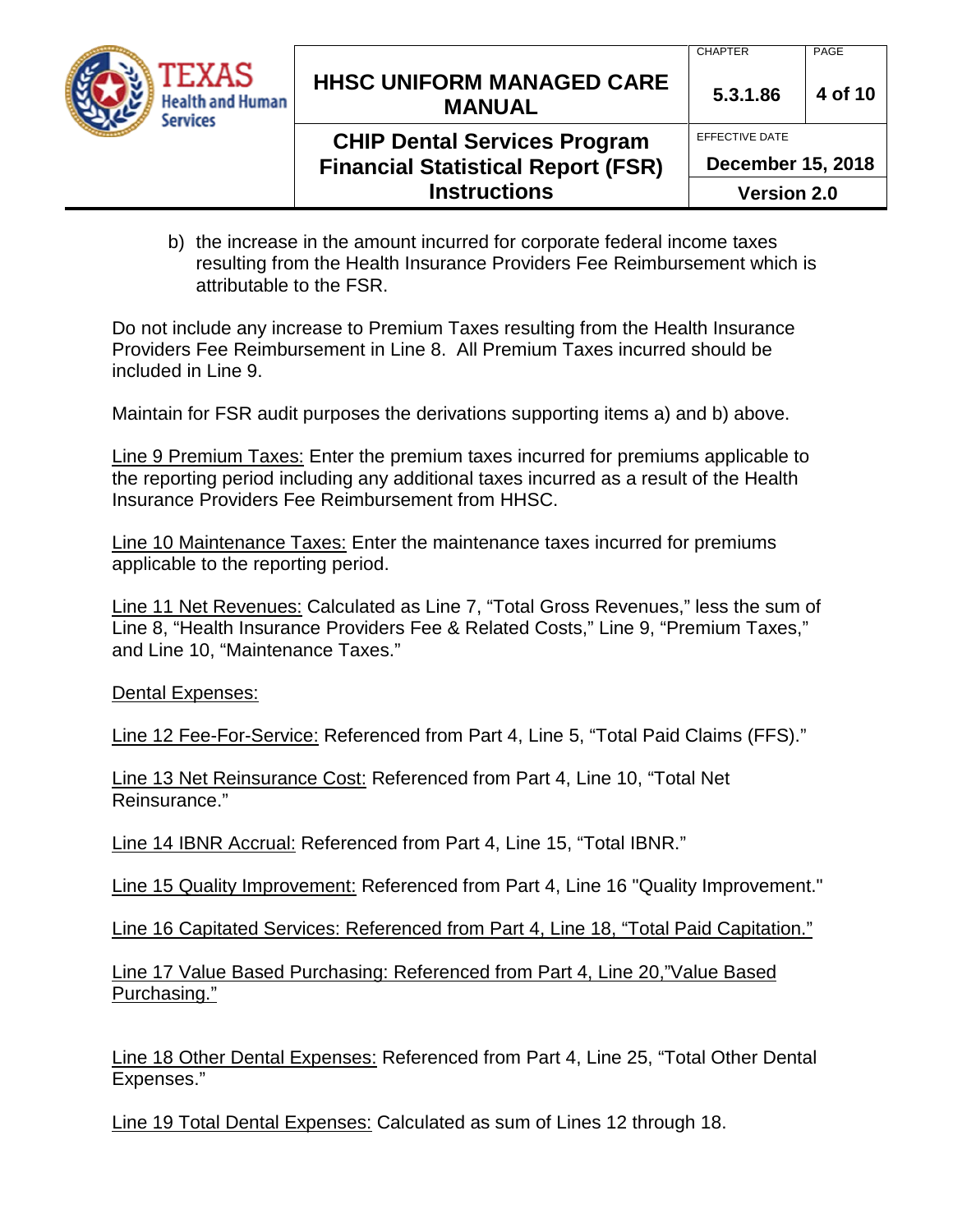

# **HHSC UNIFORM MANAGED CARE MANUAL** 5.3.1.86 4 of 10

### **CHIP Dental Services Program Financial Statistical Report (FSR) Instructions**

EFFECTIVE DATE

**December 15, 2018**

**Version 2.0**

b) the increase in the amount incurred for corporate federal income taxes resulting from the Health Insurance Providers Fee Reimbursement which is attributable to the FSR.

Do not include any increase to Premium Taxes resulting from the Health Insurance Providers Fee Reimbursement in Line 8. All Premium Taxes incurred should be included in Line 9.

Maintain for FSR audit purposes the derivations supporting items a) and b) above.

Line 9 Premium Taxes: Enter the premium taxes incurred for premiums applicable to the reporting period including any additional taxes incurred as a result of the Health Insurance Providers Fee Reimbursement from HHSC.

Line 10 Maintenance Taxes: Enter the maintenance taxes incurred for premiums applicable to the reporting period.

Line 11 Net Revenues: Calculated as Line 7, "Total Gross Revenues," less the sum of Line 8, "Health Insurance Providers Fee & Related Costs," Line 9, "Premium Taxes," and Line 10, "Maintenance Taxes."

Dental Expenses:

Line 12 Fee-For-Service: Referenced from Part 4, Line 5, "Total Paid Claims (FFS)."

Line 13 Net Reinsurance Cost: Referenced from Part 4, Line 10, "Total Net Reinsurance."

Line 14 IBNR Accrual: Referenced from Part 4, Line 15, "Total IBNR."

Line 15 Quality Improvement: Referenced from Part 4, Line 16 "Quality Improvement."

Line 16 Capitated Services: Referenced from Part 4, Line 18, "Total Paid Capitation."

Line 17 Value Based Purchasing: Referenced from Part 4, Line 20,"Value Based Purchasing."

Line 18 Other Dental Expenses: Referenced from Part 4, Line 25, "Total Other Dental Expenses."

Line 19 Total Dental Expenses: Calculated as sum of Lines 12 through 18.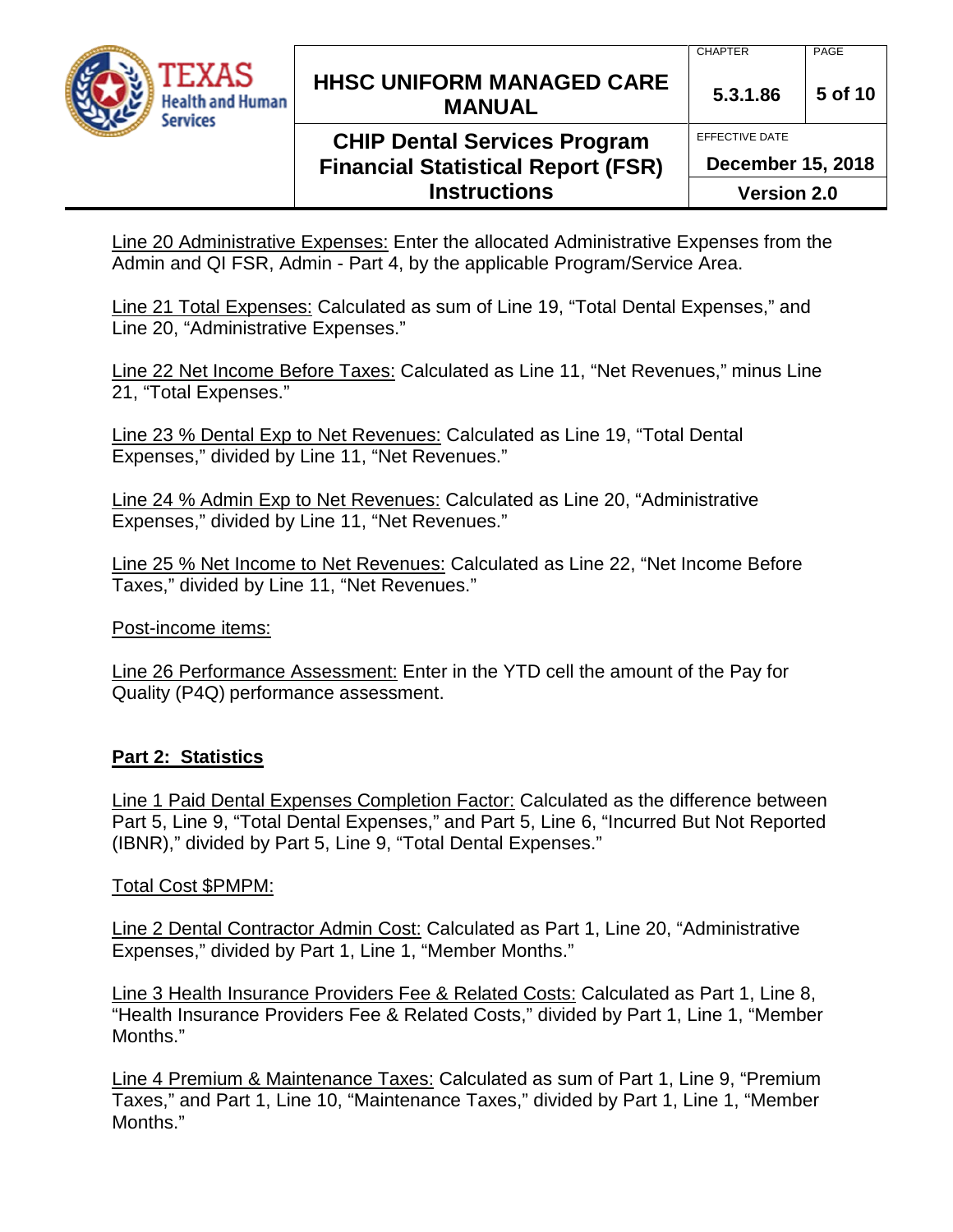

## **CHIP Dental Services Program Financial Statistical Report (FSR) Instructions**

EFFECTIVE DATE

**December 15, 2018**

**Version 2.0**

Line 20 Administrative Expenses: Enter the allocated Administrative Expenses from the Admin and QI FSR, Admin - Part 4, by the applicable Program/Service Area.

Line 21 Total Expenses: Calculated as sum of Line 19, "Total Dental Expenses," and Line 20, "Administrative Expenses."

Line 22 Net Income Before Taxes: Calculated as Line 11, "Net Revenues," minus Line 21, "Total Expenses."

Line 23 % Dental Exp to Net Revenues: Calculated as Line 19, "Total Dental Expenses," divided by Line 11, "Net Revenues."

Line 24 % Admin Exp to Net Revenues: Calculated as Line 20, "Administrative Expenses," divided by Line 11, "Net Revenues."

Line 25 % Net Income to Net Revenues: Calculated as Line 22, "Net Income Before Taxes," divided by Line 11, "Net Revenues."

Post-income items:

Line 26 Performance Assessment: Enter in the YTD cell the amount of the Pay for Quality (P4Q) performance assessment.

### **Part 2: Statistics**

Line 1 Paid Dental Expenses Completion Factor: Calculated as the difference between Part 5, Line 9, "Total Dental Expenses," and Part 5, Line 6, "Incurred But Not Reported (IBNR)," divided by Part 5, Line 9, "Total Dental Expenses."

### Total Cost \$PMPM:

Line 2 Dental Contractor Admin Cost: Calculated as Part 1, Line 20, "Administrative Expenses," divided by Part 1, Line 1, "Member Months."

Line 3 Health Insurance Providers Fee & Related Costs: Calculated as Part 1, Line 8, "Health Insurance Providers Fee & Related Costs," divided by Part 1, Line 1, "Member Months."

Line 4 Premium & Maintenance Taxes: Calculated as sum of Part 1, Line 9, "Premium Taxes," and Part 1, Line 10, "Maintenance Taxes," divided by Part 1, Line 1, "Member Months."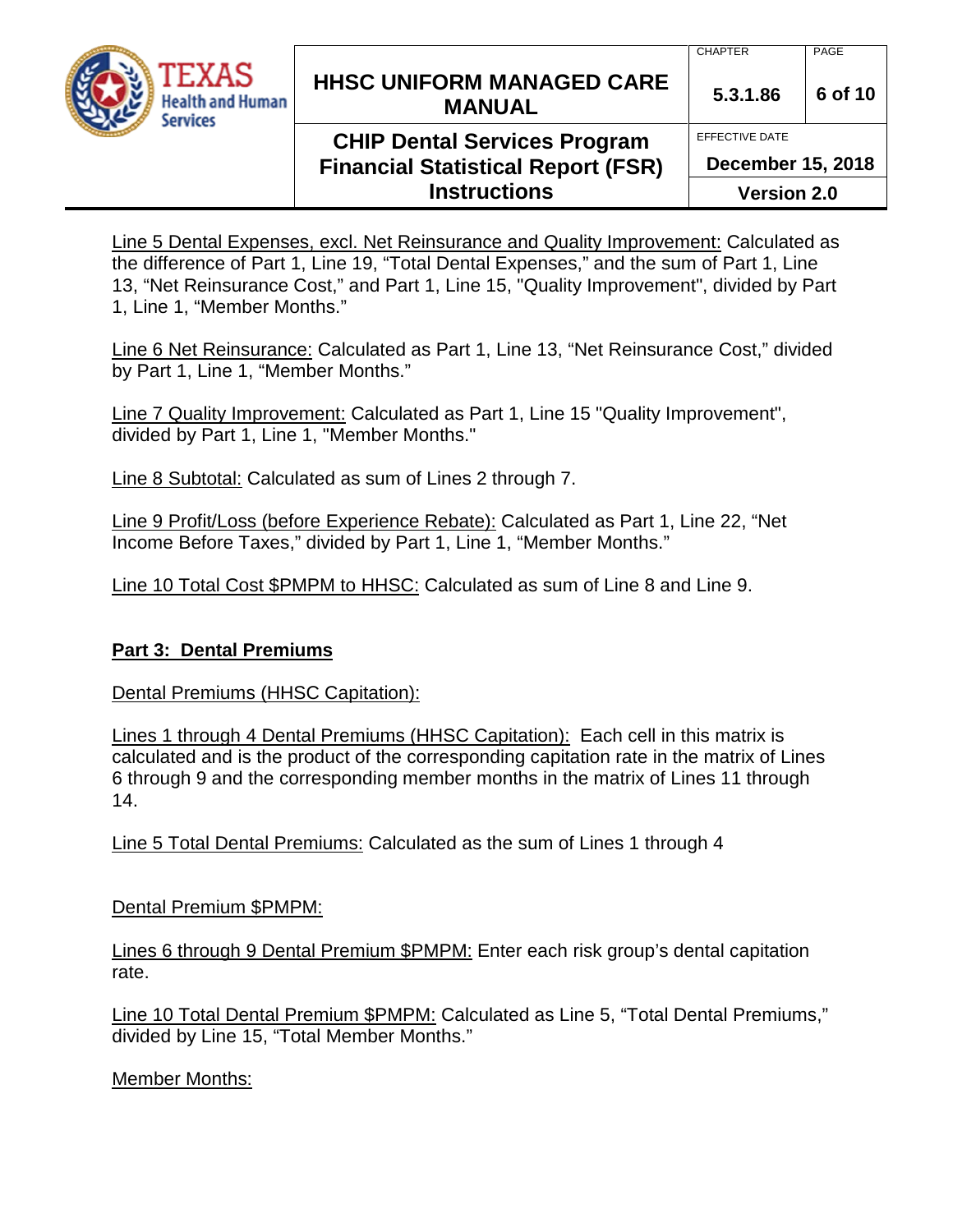

## **HHSC UNIFORM MANAGED CARE MANUAL 5.3.1.86 <sup>6</sup> of 10**

## **CHIP Dental Services Program Financial Statistical Report (FSR) Instructions**

CHAPTER | PAGE

EFFECTIVE DATE

**December 15, 2018**

**Version 2.0**

Line 5 Dental Expenses, excl. Net Reinsurance and Quality Improvement: Calculated as the difference of Part 1, Line 19, "Total Dental Expenses," and the sum of Part 1, Line 13, "Net Reinsurance Cost," and Part 1, Line 15, "Quality Improvement", divided by Part 1, Line 1, "Member Months."

Line 6 Net Reinsurance: Calculated as Part 1, Line 13, "Net Reinsurance Cost," divided by Part 1, Line 1, "Member Months."

Line 7 Quality Improvement: Calculated as Part 1, Line 15 "Quality Improvement", divided by Part 1, Line 1, "Member Months."

Line 8 Subtotal: Calculated as sum of Lines 2 through 7.

Line 9 Profit/Loss (before Experience Rebate): Calculated as Part 1, Line 22, "Net Income Before Taxes," divided by Part 1, Line 1, "Member Months."

Line 10 Total Cost \$PMPM to HHSC: Calculated as sum of Line 8 and Line 9.

### **Part 3: Dental Premiums**

Dental Premiums (HHSC Capitation):

Lines 1 through 4 Dental Premiums (HHSC Capitation): Each cell in this matrix is calculated and is the product of the corresponding capitation rate in the matrix of Lines 6 through 9 and the corresponding member months in the matrix of Lines 11 through 14.

Line 5 Total Dental Premiums: Calculated as the sum of Lines 1 through 4

Dental Premium \$PMPM:

Lines 6 through 9 Dental Premium \$PMPM: Enter each risk group's dental capitation rate.

Line 10 Total Dental Premium \$PMPM: Calculated as Line 5, "Total Dental Premiums," divided by Line 15, "Total Member Months."

Member Months: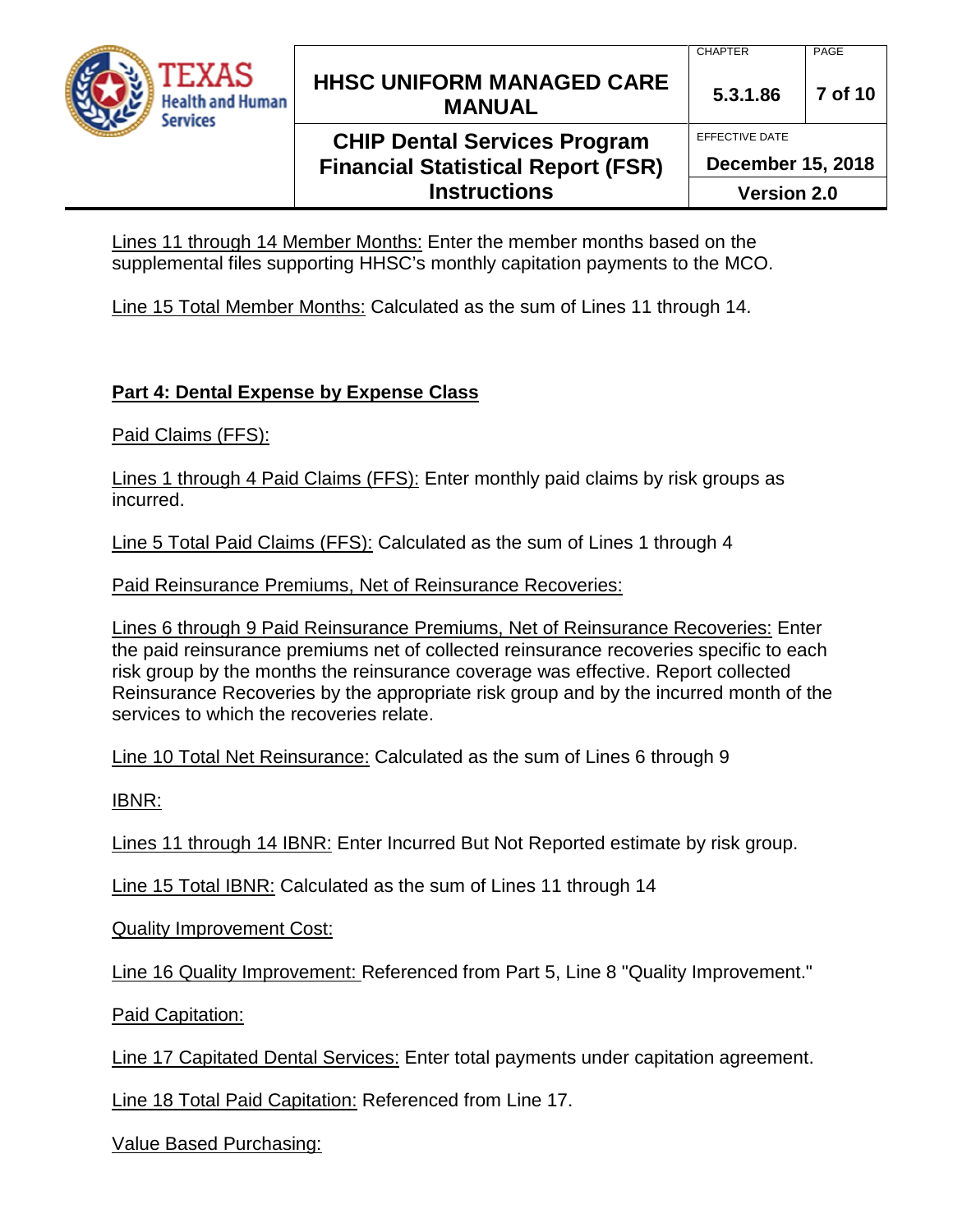

## **CHIP Dental Services Program Financial Statistical Report (FSR) Instructions**

**December 15, 2018**

EFFECTIVE DATE

**Version 2.0**

Lines 11 through 14 Member Months: Enter the member months based on the supplemental files supporting HHSC's monthly capitation payments to the MCO.

Line 15 Total Member Months: Calculated as the sum of Lines 11 through 14.

# **Part 4: Dental Expense by Expense Class**

Paid Claims (FFS):

Lines 1 through 4 Paid Claims (FFS): Enter monthly paid claims by risk groups as incurred.

Line 5 Total Paid Claims (FFS): Calculated as the sum of Lines 1 through 4

Paid Reinsurance Premiums, Net of Reinsurance Recoveries:

Lines 6 through 9 Paid Reinsurance Premiums, Net of Reinsurance Recoveries: Enter the paid reinsurance premiums net of collected reinsurance recoveries specific to each risk group by the months the reinsurance coverage was effective. Report collected Reinsurance Recoveries by the appropriate risk group and by the incurred month of the services to which the recoveries relate.

Line 10 Total Net Reinsurance: Calculated as the sum of Lines 6 through 9

IBNR:

Lines 11 through 14 IBNR: Enter Incurred But Not Reported estimate by risk group.

Line 15 Total IBNR: Calculated as the sum of Lines 11 through 14

Quality Improvement Cost:

Line 16 Quality Improvement: Referenced from Part 5, Line 8 "Quality Improvement."

Paid Capitation:

Line 17 Capitated Dental Services: Enter total payments under capitation agreement.

Line 18 Total Paid Capitation: Referenced from Line 17.

Value Based Purchasing: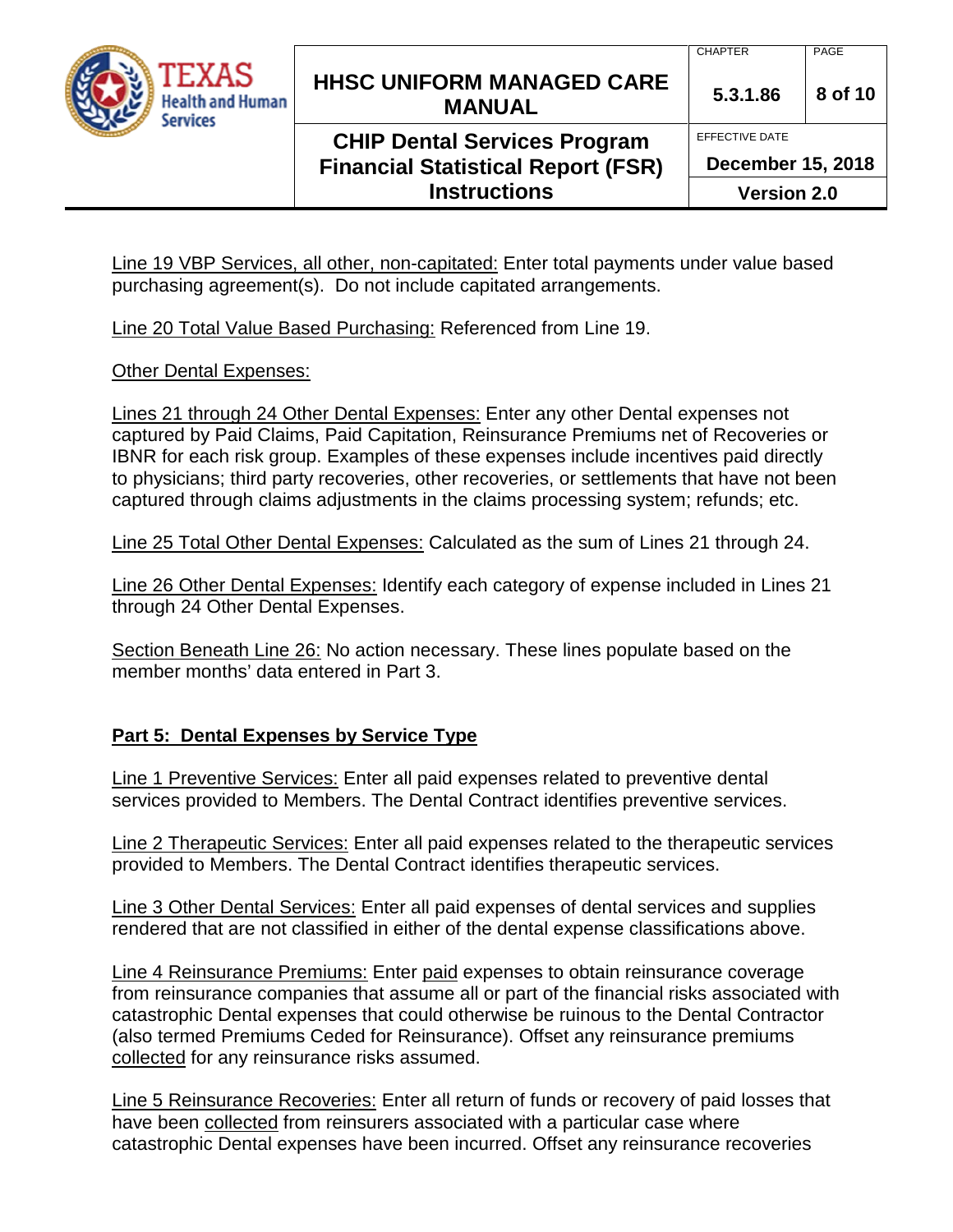

### **CHIP Dental Services Program Financial Statistical Report (FSR) Instructions**

CHAPTER PAGE

EFFECTIVE DATE

**December 15, 2018**

**Version 2.0**

Line 19 VBP Services, all other, non-capitated: Enter total payments under value based purchasing agreement(s). Do not include capitated arrangements.

Line 20 Total Value Based Purchasing: Referenced from Line 19.

Other Dental Expenses:

Lines 21 through 24 Other Dental Expenses: Enter any other Dental expenses not captured by Paid Claims, Paid Capitation, Reinsurance Premiums net of Recoveries or IBNR for each risk group. Examples of these expenses include incentives paid directly to physicians; third party recoveries, other recoveries, or settlements that have not been captured through claims adjustments in the claims processing system; refunds; etc.

Line 25 Total Other Dental Expenses: Calculated as the sum of Lines 21 through 24.

Line 26 Other Dental Expenses: Identify each category of expense included in Lines 21 through 24 Other Dental Expenses.

Section Beneath Line 26: No action necessary. These lines populate based on the member months' data entered in Part 3.

### **Part 5: Dental Expenses by Service Type**

Line 1 Preventive Services: Enter all paid expenses related to preventive dental services provided to Members. The Dental Contract identifies preventive services.

Line 2 Therapeutic Services: Enter all paid expenses related to the therapeutic services provided to Members. The Dental Contract identifies therapeutic services.

Line 3 Other Dental Services: Enter all paid expenses of dental services and supplies rendered that are not classified in either of the dental expense classifications above.

Line 4 Reinsurance Premiums: Enter paid expenses to obtain reinsurance coverage from reinsurance companies that assume all or part of the financial risks associated with catastrophic Dental expenses that could otherwise be ruinous to the Dental Contractor (also termed Premiums Ceded for Reinsurance). Offset any reinsurance premiums collected for any reinsurance risks assumed.

Line 5 Reinsurance Recoveries: Enter all return of funds or recovery of paid losses that have been collected from reinsurers associated with a particular case where catastrophic Dental expenses have been incurred. Offset any reinsurance recoveries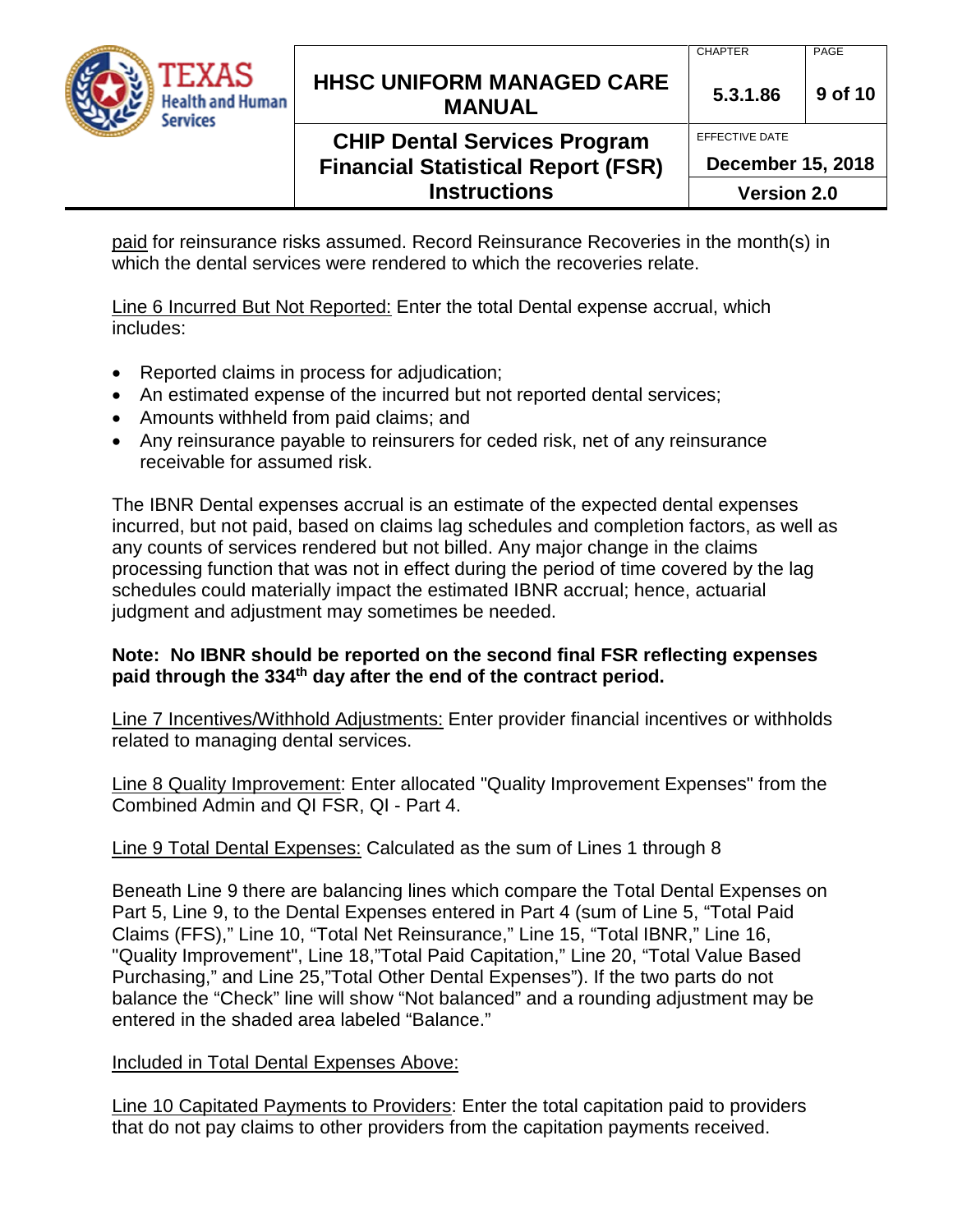| TEXAS<br><b>Health and Human</b><br>Services | <b>HHSC UNIFORM MANAGED CARE</b><br><b>MANUAL</b>                                                       | <b>CHAPTER</b><br>5.3.1.86                                       | PAGE<br>9 of 10 |
|----------------------------------------------|---------------------------------------------------------------------------------------------------------|------------------------------------------------------------------|-----------------|
|                                              | <b>CHIP Dental Services Program</b><br><b>Financial Statistical Report (FSR)</b><br><b>Instructions</b> | EFFECTIVE DATE<br><b>December 15, 2018</b><br><b>Version 2.0</b> |                 |

paid for reinsurance risks assumed. Record Reinsurance Recoveries in the month(s) in which the dental services were rendered to which the recoveries relate.

Line 6 Incurred But Not Reported: Enter the total Dental expense accrual, which includes:

- Reported claims in process for adjudication;
- An estimated expense of the incurred but not reported dental services;
- Amounts withheld from paid claims; and
- Any reinsurance payable to reinsurers for ceded risk, net of any reinsurance receivable for assumed risk.

The IBNR Dental expenses accrual is an estimate of the expected dental expenses incurred, but not paid, based on claims lag schedules and completion factors, as well as any counts of services rendered but not billed. Any major change in the claims processing function that was not in effect during the period of time covered by the lag schedules could materially impact the estimated IBNR accrual; hence, actuarial judgment and adjustment may sometimes be needed.

### **Note: No IBNR should be reported on the second final FSR reflecting expenses paid through the 334th day after the end of the contract period.**

Line 7 Incentives/Withhold Adjustments: Enter provider financial incentives or withholds related to managing dental services.

Line 8 Quality Improvement: Enter allocated "Quality Improvement Expenses" from the Combined Admin and QI FSR, QI - Part 4.

### Line 9 Total Dental Expenses: Calculated as the sum of Lines 1 through 8

Beneath Line 9 there are balancing lines which compare the Total Dental Expenses on Part 5, Line 9, to the Dental Expenses entered in Part 4 (sum of Line 5, "Total Paid Claims (FFS)," Line 10, "Total Net Reinsurance," Line 15, "Total IBNR," Line 16, "Quality Improvement", Line 18,"Total Paid Capitation," Line 20, "Total Value Based Purchasing," and Line 25,"Total Other Dental Expenses"). If the two parts do not balance the "Check" line will show "Not balanced" and a rounding adjustment may be entered in the shaded area labeled "Balance."

### Included in Total Dental Expenses Above:

Line 10 Capitated Payments to Providers: Enter the total capitation paid to providers that do not pay claims to other providers from the capitation payments received.